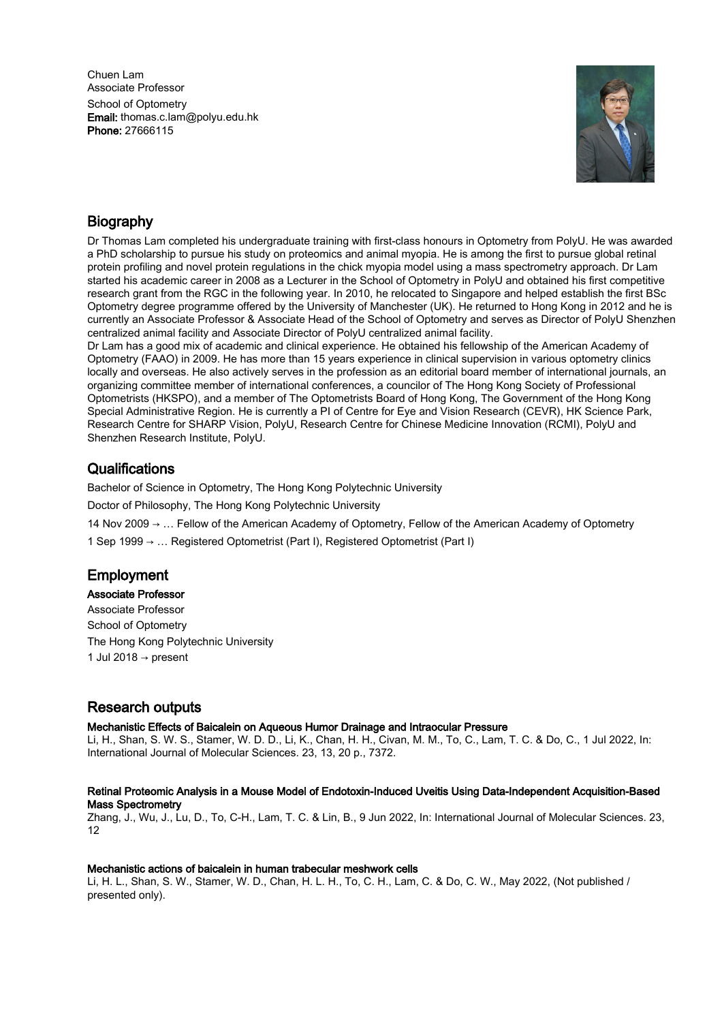Chuen Lam Associate Professor School of Optometry Email: thomas.c.lam@polyu.edu.hk Phone: 27666115



# **Biography**

Dr Thomas Lam completed his undergraduate training with first-class honours in Optometry from PolyU. He was awarded a PhD scholarship to pursue his study on proteomics and animal myopia. He is among the first to pursue global retinal protein profiling and novel protein regulations in the chick myopia model using a mass spectrometry approach. Dr Lam started his academic career in 2008 as a Lecturer in the School of Optometry in PolyU and obtained his first competitive research grant from the RGC in the following year. In 2010, he relocated to Singapore and helped establish the first BSc Optometry degree programme offered by the University of Manchester (UK). He returned to Hong Kong in 2012 and he is currently an Associate Professor & Associate Head of the School of Optometry and serves as Director of PolyU Shenzhen centralized animal facility and Associate Director of PolyU centralized animal facility.

Dr Lam has a good mix of academic and clinical experience. He obtained his fellowship of the American Academy of Optometry (FAAO) in 2009. He has more than 15 years experience in clinical supervision in various optometry clinics locally and overseas. He also actively serves in the profession as an editorial board member of international journals, an organizing committee member of international conferences, a councilor of The Hong Kong Society of Professional Optometrists (HKSPO), and a member of The Optometrists Board of Hong Kong, The Government of the Hong Kong Special Administrative Region. He is currently a PI of Centre for Eye and Vision Research (CEVR), HK Science Park, Research Centre for SHARP Vision, PolyU, Research Centre for Chinese Medicine Innovation (RCMI), PolyU and Shenzhen Research Institute, PolyU.

# **Qualifications**

Bachelor of Science in Optometry, The Hong Kong Polytechnic University

Doctor of Philosophy, The Hong Kong Polytechnic University

14 Nov 2009 → … Fellow of the American Academy of Optometry, Fellow of the American Academy of Optometry

1 Sep 1999 → … Registered Optometrist (Part I), Registered Optometrist (Part I)

# Employment

Associate Professor

Associate Professor School of Optometry The Hong Kong Polytechnic University 1 Jul 2018  $\rightarrow$  present

# Research outputs

Mechanistic Effects of Baicalein on Aqueous Humor Drainage and Intraocular Pressure

Li, H., Shan, S. W. S., Stamer, W. D. D., Li, K., Chan, H. H., Civan, M. M., To, C., Lam, T. C. & Do, C., 1 Jul 2022, In: International Journal of Molecular Sciences. 23, 13, 20 p., 7372.

# Retinal Proteomic Analysis in a Mouse Model of Endotoxin-Induced Uveitis Using Data-Independent Acquisition-Based Mass Spectrometry

Zhang, J., Wu, J., Lu, D., To, C-H., Lam, T. C. & Lin, B., 9 Jun 2022, In: International Journal of Molecular Sciences. 23, 12

# Mechanistic actions of baicalein in human trabecular meshwork cells

Li, H. L., Shan, S. W., Stamer, W. D., Chan, H. L. H., To, C. H., Lam, C. & Do, C. W., May 2022, (Not published / presented only).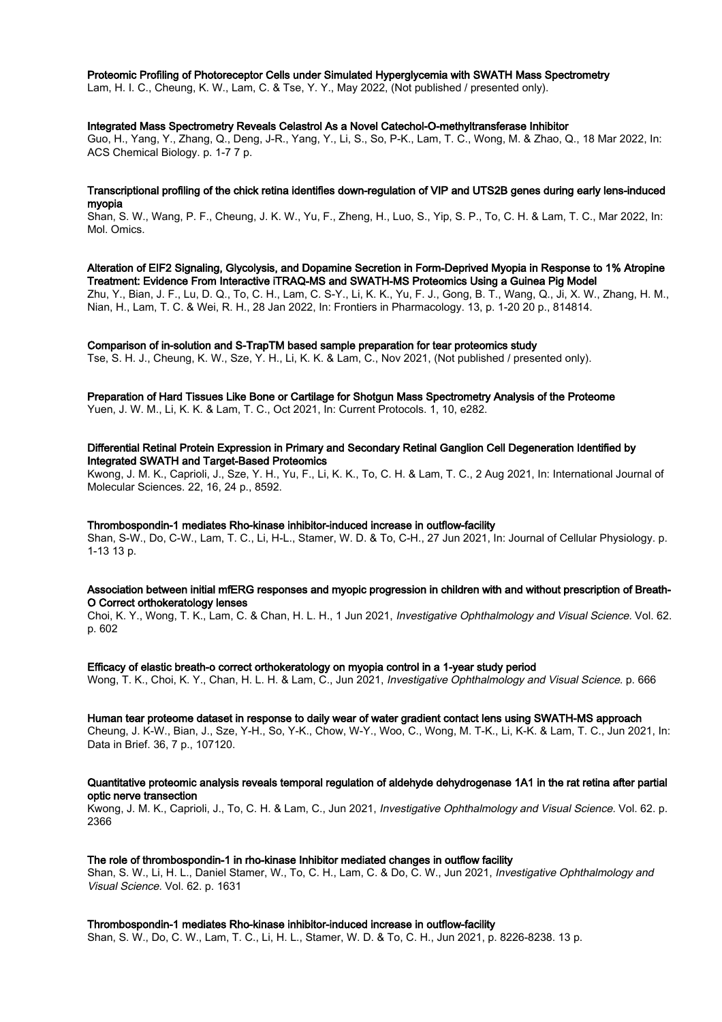### Proteomic Profiling of Photoreceptor Cells under Simulated Hyperglycemia with SWATH Mass Spectrometry

Lam, H. I. C., Cheung, K. W., Lam, C. & Tse, Y. Y., May 2022, (Not published / presented only).

### Integrated Mass Spectrometry Reveals Celastrol As a Novel Catechol-O-methyltransferase Inhibitor

Guo, H., Yang, Y., Zhang, Q., Deng, J-R., Yang, Y., Li, S., So, P-K., Lam, T. C., Wong, M. & Zhao, Q., 18 Mar 2022, In: ACS Chemical Biology. p. 1-7 7 p.

### Transcriptional profiling of the chick retina identifies down-regulation of VIP and UTS2B genes during early lens-induced myopia

Shan, S. W., Wang, P. F., Cheung, J. K. W., Yu, F., Zheng, H., Luo, S., Yip, S. P., To, C. H. & Lam, T. C., Mar 2022, In: Mol. Omics.

### Alteration of EIF2 Signaling, Glycolysis, and Dopamine Secretion in Form-Deprived Myopia in Response to 1% Atropine Treatment: Evidence From Interactive iTRAQ-MS and SWATH-MS Proteomics Using a Guinea Pig Model

Zhu, Y., Bian, J. F., Lu, D. Q., To, C. H., Lam, C. S-Y., Li, K. K., Yu, F. J., Gong, B. T., Wang, Q., Ji, X. W., Zhang, H. M., Nian, H., Lam, T. C. & Wei, R. H., 28 Jan 2022, In: Frontiers in Pharmacology. 13, p. 1-20 20 p., 814814.

### Comparison of in-solution and S-TrapTM based sample preparation for tear proteomics study

Tse, S. H. J., Cheung, K. W., Sze, Y. H., Li, K. K. & Lam, C., Nov 2021, (Not published / presented only).

### Preparation of Hard Tissues Like Bone or Cartilage for Shotgun Mass Spectrometry Analysis of the Proteome Yuen, J. W. M., Li, K. K. & Lam, T. C., Oct 2021, In: Current Protocols. 1, 10, e282.

### Differential Retinal Protein Expression in Primary and Secondary Retinal Ganglion Cell Degeneration Identified by Integrated SWATH and Target-Based Proteomics

Kwong, J. M. K., Caprioli, J., Sze, Y. H., Yu, F., Li, K. K., To, C. H. & Lam, T. C., 2 Aug 2021, In: International Journal of Molecular Sciences. 22, 16, 24 p., 8592.

### Thrombospondin-1 mediates Rho-kinase inhibitor-induced increase in outflow-facility

Shan, S-W., Do, C-W., Lam, T. C., Li, H-L., Stamer, W. D. & To, C-H., 27 Jun 2021, In: Journal of Cellular Physiology. p. 1-13 13 p.

### Association between initial mfERG responses and myopic progression in children with and without prescription of Breath-O Correct orthokeratology lenses

Choi, K. Y., Wong, T. K., Lam, C. & Chan, H. L. H., 1 Jun 2021, Investigative Ophthalmology and Visual Science. Vol. 62. p. 602

### Efficacy of elastic breath-o correct orthokeratology on myopia control in a 1-year study period

Wong, T. K., Choi, K. Y., Chan, H. L. H. & Lam, C., Jun 2021, Investigative Ophthalmology and Visual Science. p. 666

### Human tear proteome dataset in response to daily wear of water gradient contact lens using SWATH-MS approach

Cheung, J. K-W., Bian, J., Sze, Y-H., So, Y-K., Chow, W-Y., Woo, C., Wong, M. T-K., Li, K-K. & Lam, T. C., Jun 2021, In: Data in Brief. 36, 7 p., 107120.

### Quantitative proteomic analysis reveals temporal regulation of aldehyde dehydrogenase 1A1 in the rat retina after partial optic nerve transection

Kwong, J. M. K., Caprioli, J., To, C. H. & Lam, C., Jun 2021, Investigative Ophthalmology and Visual Science. Vol. 62. p. 2366

### The role of thrombospondin-1 in rho-kinase Inhibitor mediated changes in outflow facility

Shan, S. W., Li, H. L., Daniel Stamer, W., To, C. H., Lam, C. & Do, C. W., Jun 2021, Investigative Ophthalmology and Visual Science. Vol. 62. p. 1631

### Thrombospondin-1 mediates Rho-kinase inhibitor-induced increase in outflow-facility

Shan, S. W., Do, C. W., Lam, T. C., Li, H. L., Stamer, W. D. & To, C. H., Jun 2021, p. 8226-8238. 13 p.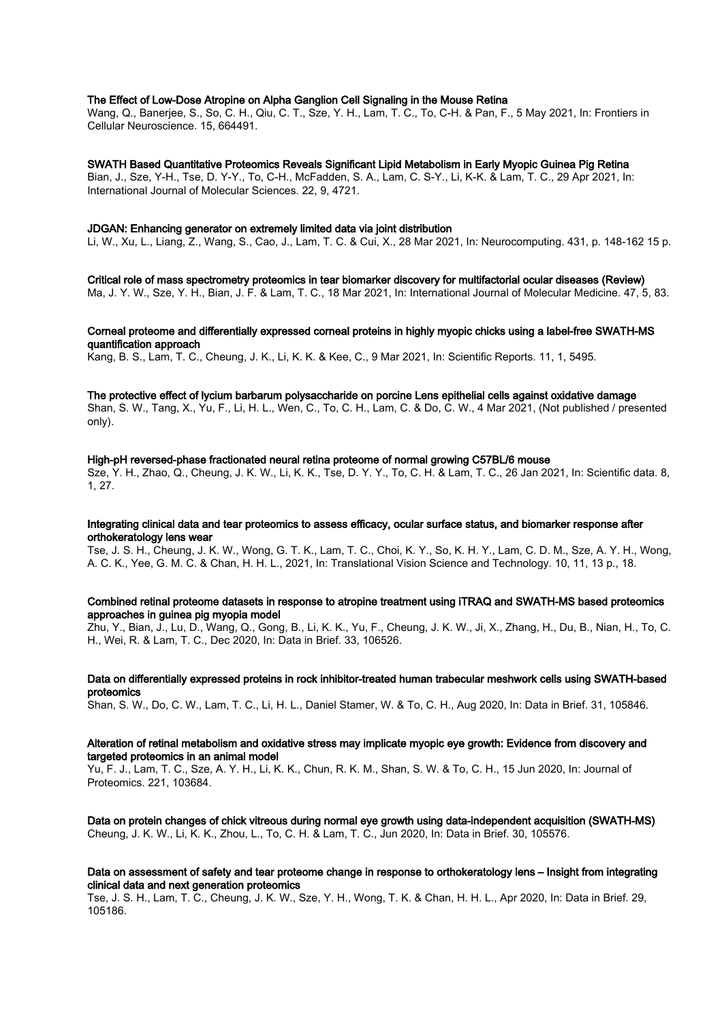### The Effect of Low-Dose Atropine on Alpha Ganglion Cell Signaling in the Mouse Retina

Wang, Q., Banerjee, S., So, C. H., Qiu, C. T., Sze, Y. H., Lam, T. C., To, C-H. & Pan, F., 5 May 2021, In: Frontiers in Cellular Neuroscience. 15, 664491.

### SWATH Based Quantitative Proteomics Reveals Significant Lipid Metabolism in Early Myopic Guinea Pig Retina

Bian, J., Sze, Y-H., Tse, D. Y-Y., To, C-H., McFadden, S. A., Lam, C. S-Y., Li, K-K. & Lam, T. C., 29 Apr 2021, In: International Journal of Molecular Sciences. 22, 9, 4721.

### JDGAN: Enhancing generator on extremely limited data via joint distribution

Li, W., Xu, L., Liang, Z., Wang, S., Cao, J., Lam, T. C. & Cui, X., 28 Mar 2021, In: Neurocomputing. 431, p. 148-162 15 p.

## Critical role of mass spectrometry proteomics in tear biomarker discovery for multifactorial ocular diseases (Review)

Ma, J. Y. W., Sze, Y. H., Bian, J. F. & Lam, T. C., 18 Mar 2021, In: International Journal of Molecular Medicine. 47, 5, 83.

### Corneal proteome and differentially expressed corneal proteins in highly myopic chicks using a label-free SWATH-MS quantification approach

Kang, B. S., Lam, T. C., Cheung, J. K., Li, K. K. & Kee, C., 9 Mar 2021, In: Scientific Reports. 11, 1, 5495.

#### The protective effect of lycium barbarum polysaccharide on porcine Lens epithelial cells against oxidative damage

Shan, S. W., Tang, X., Yu, F., Li, H. L., Wen, C., To, C. H., Lam, C. & Do, C. W., 4 Mar 2021, (Not published / presented only).

#### High-pH reversed-phase fractionated neural retina proteome of normal growing C57BL/6 mouse

Sze, Y. H., Zhao, Q., Cheung, J. K. W., Li, K. K., Tse, D. Y. Y., To, C. H. & Lam, T. C., 26 Jan 2021, In: Scientific data. 8, 1, 27.

### Integrating clinical data and tear proteomics to assess efficacy, ocular surface status, and biomarker response after orthokeratology lens wear

Tse, J. S. H., Cheung, J. K. W., Wong, G. T. K., Lam, T. C., Choi, K. Y., So, K. H. Y., Lam, C. D. M., Sze, A. Y. H., Wong, A. C. K., Yee, G. M. C. & Chan, H. H. L., 2021, In: Translational Vision Science and Technology. 10, 11, 13 p., 18.

### Combined retinal proteome datasets in response to atropine treatment using iTRAQ and SWATH-MS based proteomics approaches in guinea pig myopia model

Zhu, Y., Bian, J., Lu, D., Wang, Q., Gong, B., Li, K. K., Yu, F., Cheung, J. K. W., Ji, X., Zhang, H., Du, B., Nian, H., To, C. H., Wei, R. & Lam, T. C., Dec 2020, In: Data in Brief. 33, 106526.

### Data on differentially expressed proteins in rock inhibitor-treated human trabecular meshwork cells using SWATH-based proteomics

Shan, S. W., Do, C. W., Lam, T. C., Li, H. L., Daniel Stamer, W. & To, C. H., Aug 2020, In: Data in Brief. 31, 105846.

### Alteration of retinal metabolism and oxidative stress may implicate myopic eye growth: Evidence from discovery and targeted proteomics in an animal model

Yu, F. J., Lam, T. C., Sze, A. Y. H., Li, K. K., Chun, R. K. M., Shan, S. W. & To, C. H., 15 Jun 2020, In: Journal of Proteomics. 221, 103684.

Data on protein changes of chick vitreous during normal eye growth using data-independent acquisition (SWATH-MS) Cheung, J. K. W., Li, K. K., Zhou, L., To, C. H. & Lam, T. C., Jun 2020, In: Data in Brief. 30, 105576.

### Data on assessment of safety and tear proteome change in response to orthokeratology lens – Insight from integrating clinical data and next generation proteomics

Tse, J. S. H., Lam, T. C., Cheung, J. K. W., Sze, Y. H., Wong, T. K. & Chan, H. H. L., Apr 2020, In: Data in Brief. 29, 105186.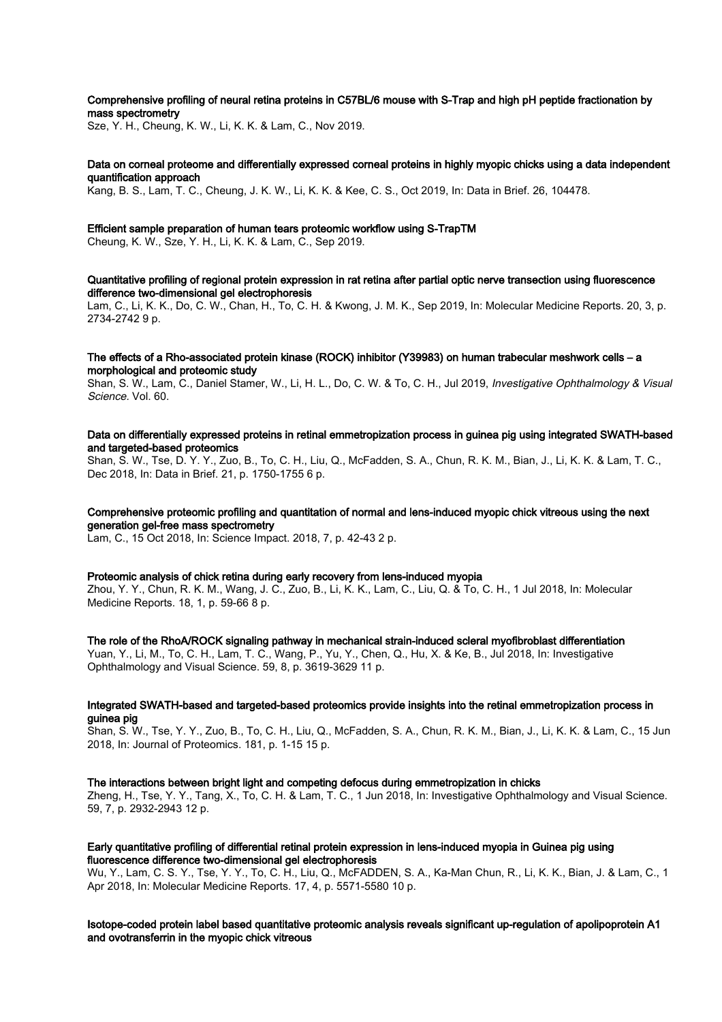# Comprehensive profiling of neural retina proteins in C57BL/6 mouse with S-Trap and high pH peptide fractionation by mass spectrometry

Sze, Y. H., Cheung, K. W., Li, K. K. & Lam, C., Nov 2019.

### Data on corneal proteome and differentially expressed corneal proteins in highly myopic chicks using a data independent quantification approach

Kang, B. S., Lam, T. C., Cheung, J. K. W., Li, K. K. & Kee, C. S., Oct 2019, In: Data in Brief. 26, 104478.

### Efficient sample preparation of human tears proteomic workflow using S-TrapTM

Cheung, K. W., Sze, Y. H., Li, K. K. & Lam, C., Sep 2019.

### Quantitative profiling of regional protein expression in rat retina after partial optic nerve transection using fluorescence difference two-dimensional gel electrophoresis

Lam, C., Li, K. K., Do, C. W., Chan, H., To, C. H. & Kwong, J. M. K., Sep 2019, In: Molecular Medicine Reports. 20, 3, p. 2734-2742 9 p.

### The effects of a Rho-associated protein kinase (ROCK) inhibitor (Y39983) on human trabecular meshwork cells – a morphological and proteomic study

Shan, S. W., Lam, C., Daniel Stamer, W., Li, H. L., Do, C. W. & To, C. H., Jul 2019, Investigative Ophthalmology & Visual Science. Vol. 60.

### Data on differentially expressed proteins in retinal emmetropization process in guinea pig using integrated SWATH-based and targeted-based proteomics

Shan, S. W., Tse, D. Y. Y., Zuo, B., To, C. H., Liu, Q., McFadden, S. A., Chun, R. K. M., Bian, J., Li, K. K. & Lam, T. C., Dec 2018, In: Data in Brief. 21, p. 1750-1755 6 p.

## Comprehensive proteomic profiling and quantitation of normal and lens-induced myopic chick vitreous using the next generation gel-free mass spectrometry

Lam, C., 15 Oct 2018, In: Science Impact. 2018, 7, p. 42-43 2 p.

### Proteomic analysis of chick retina during early recovery from lens-induced myopia

Zhou, Y. Y., Chun, R. K. M., Wang, J. C., Zuo, B., Li, K. K., Lam, C., Liu, Q. & To, C. H., 1 Jul 2018, In: Molecular Medicine Reports. 18, 1, p. 59-66 8 p.

#### The role of the RhoA/ROCK signaling pathway in mechanical strain-induced scleral myofibroblast differentiation

Yuan, Y., Li, M., To, C. H., Lam, T. C., Wang, P., Yu, Y., Chen, Q., Hu, X. & Ke, B., Jul 2018, In: Investigative Ophthalmology and Visual Science. 59, 8, p. 3619-3629 11 p.

### Integrated SWATH-based and targeted-based proteomics provide insights into the retinal emmetropization process in guinea pig

Shan, S. W., Tse, Y. Y., Zuo, B., To, C. H., Liu, Q., McFadden, S. A., Chun, R. K. M., Bian, J., Li, K. K. & Lam, C., 15 Jun 2018, In: Journal of Proteomics. 181, p. 1-15 15 p.

#### The interactions between bright light and competing defocus during emmetropization in chicks

Zheng, H., Tse, Y. Y., Tang, X., To, C. H. & Lam, T. C., 1 Jun 2018, In: Investigative Ophthalmology and Visual Science. 59, 7, p. 2932-2943 12 p.

### Early quantitative profiling of differential retinal protein expression in lens-induced myopia in Guinea pig using fluorescence difference two-dimensional gel electrophoresis

Wu, Y., Lam, C. S. Y., Tse, Y. Y., To, C. H., Liu, Q., McFADDEN, S. A., Ka-Man Chun, R., Li, K. K., Bian, J. & Lam, C., 1 Apr 2018, In: Molecular Medicine Reports. 17, 4, p. 5571-5580 10 p.

### Isotope-coded protein label based quantitative proteomic analysis reveals significant up-regulation of apolipoprotein A1 and ovotransferrin in the myopic chick vitreous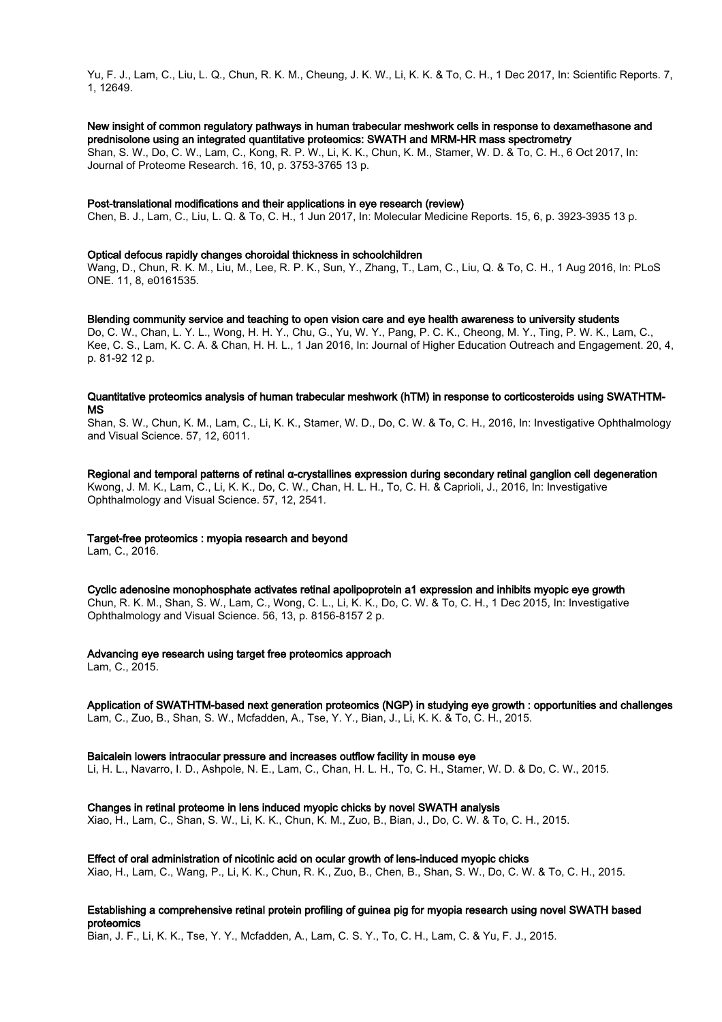Yu, F. J., Lam, C., Liu, L. Q., Chun, R. K. M., Cheung, J. K. W., Li, K. K. & To, C. H., 1 Dec 2017, In: Scientific Reports. 7, 1, 12649.

# New insight of common regulatory pathways in human trabecular meshwork cells in response to dexamethasone and prednisolone using an integrated quantitative proteomics: SWATH and MRM-HR mass spectrometry

Shan, S. W., Do, C. W., Lam, C., Kong, R. P. W., Li, K. K., Chun, K. M., Stamer, W. D. & To, C. H., 6 Oct 2017, In: Journal of Proteome Research. 16, 10, p. 3753-3765 13 p.

## Post-translational modifications and their applications in eye research (review)

Chen, B. J., Lam, C., Liu, L. Q. & To, C. H., 1 Jun 2017, In: Molecular Medicine Reports. 15, 6, p. 3923-3935 13 p.

### Optical defocus rapidly changes choroidal thickness in schoolchildren

Wang, D., Chun, R. K. M., Liu, M., Lee, R. P. K., Sun, Y., Zhang, T., Lam, C., Liu, Q. & To, C. H., 1 Aug 2016, In: PLoS ONE. 11, 8, e0161535.

Blending community service and teaching to open vision care and eye health awareness to university students Do, C. W., Chan, L. Y. L., Wong, H. H. Y., Chu, G., Yu, W. Y., Pang, P. C. K., Cheong, M. Y., Ting, P. W. K., Lam, C., Kee, C. S., Lam, K. C. A. & Chan, H. H. L., 1 Jan 2016, In: Journal of Higher Education Outreach and Engagement. 20, 4, p. 81-92 12 p.

### Quantitative proteomics analysis of human trabecular meshwork (hTM) in response to corticosteroids using SWATHTM-MS

Shan, S. W., Chun, K. M., Lam, C., Li, K. K., Stamer, W. D., Do, C. W. & To, C. H., 2016, In: Investigative Ophthalmology and Visual Science. 57, 12, 6011.

Regional and temporal patterns of retinal α-crystallines expression during secondary retinal ganglion cell degeneration Kwong, J. M. K., Lam, C., Li, K. K., Do, C. W., Chan, H. L. H., To, C. H. & Caprioli, J., 2016, In: Investigative Ophthalmology and Visual Science. 57, 12, 2541.

### Target-free proteomics : myopia research and beyond

Lam, C., 2016.

Cyclic adenosine monophosphate activates retinal apolipoprotein a1 expression and inhibits myopic eye growth Chun, R. K. M., Shan, S. W., Lam, C., Wong, C. L., Li, K. K., Do, C. W. & To, C. H., 1 Dec 2015, In: Investigative Ophthalmology and Visual Science. 56, 13, p. 8156-8157 2 p.

### Advancing eye research using target free proteomics approach

Lam, C., 2015.

# Application of SWATHTM-based next generation proteomics (NGP) in studying eye growth : opportunities and challenges

Lam, C., Zuo, B., Shan, S. W., Mcfadden, A., Tse, Y. Y., Bian, J., Li, K. K. & To, C. H., 2015.

### Baicalein lowers intraocular pressure and increases outflow facility in mouse eye

Li, H. L., Navarro, I. D., Ashpole, N. E., Lam, C., Chan, H. L. H., To, C. H., Stamer, W. D. & Do, C. W., 2015.

### Changes in retinal proteome in lens induced myopic chicks by novel SWATH analysis

Xiao, H., Lam, C., Shan, S. W., Li, K. K., Chun, K. M., Zuo, B., Bian, J., Do, C. W. & To, C. H., 2015.

### Effect of oral administration of nicotinic acid on ocular growth of lens-induced myopic chicks

Xiao, H., Lam, C., Wang, P., Li, K. K., Chun, R. K., Zuo, B., Chen, B., Shan, S. W., Do, C. W. & To, C. H., 2015.

## Establishing a comprehensive retinal protein profiling of guinea pig for myopia research using novel SWATH based proteomics

Bian, J. F., Li, K. K., Tse, Y. Y., Mcfadden, A., Lam, C. S. Y., To, C. H., Lam, C. & Yu, F. J., 2015.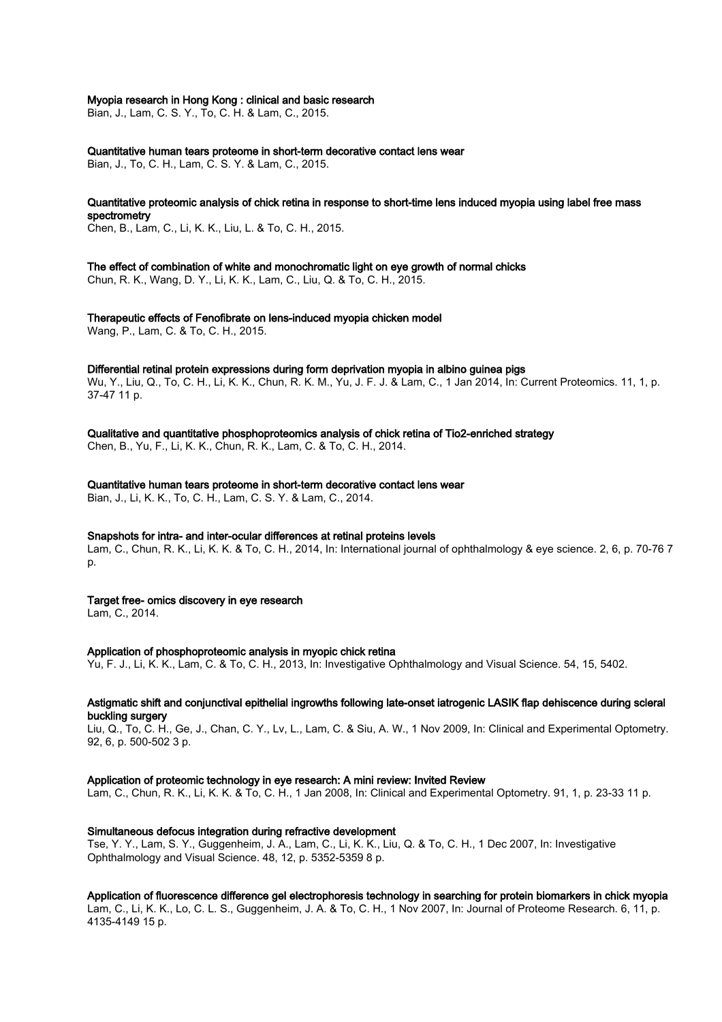### Myopia research in Hong Kong : clinical and basic research

Bian, J., Lam, C. S. Y., To, C. H. & Lam, C., 2015.

Quantitative human tears proteome in short-term decorative contact lens wear Bian, J., To, C. H., Lam, C. S. Y. & Lam, C., 2015.

Quantitative proteomic analysis of chick retina in response to short-time lens induced myopia using label free mass spectrometry

Chen, B., Lam, C., Li, K. K., Liu, L. & To, C. H., 2015.

The effect of combination of white and monochromatic light on eye growth of normal chicks

Chun, R. K., Wang, D. Y., Li, K. K., Lam, C., Liu, Q. & To, C. H., 2015.

Therapeutic effects of Fenofibrate on lens-induced myopia chicken model Wang, P., Lam, C. & To, C. H., 2015.

Differential retinal protein expressions during form deprivation myopia in albino guinea pigs Wu, Y., Liu, Q., To, C. H., Li, K. K., Chun, R. K. M., Yu, J. F. J. & Lam, C., 1 Jan 2014, In: Current Proteomics. 11, 1, p. 37-47 11 p.

Qualitative and quantitative phosphoproteomics analysis of chick retina of Tio2-enriched strategy Chen, B., Yu, F., Li, K. K., Chun, R. K., Lam, C. & To, C. H., 2014.

Quantitative human tears proteome in short-term decorative contact lens wear

Bian, J., Li, K. K., To, C. H., Lam, C. S. Y. & Lam, C., 2014.

### Snapshots for intra- and inter-ocular differences at retinal proteins levels

Lam, C., Chun, R. K., Li, K. K. & To, C. H., 2014, In: International journal of ophthalmology & eye science. 2, 6, p. 70-76 7 p.

Target free- omics discovery in eye research

Lam, C., 2014.

Application of phosphoproteomic analysis in myopic chick retina

Yu, F. J., Li, K. K., Lam, C. & To, C. H., 2013, In: Investigative Ophthalmology and Visual Science. 54, 15, 5402.

### Astigmatic shift and conjunctival epithelial ingrowths following late-onset iatrogenic LASIK flap dehiscence during scleral buckling surgery

Liu, Q., To, C. H., Ge, J., Chan, C. Y., Lv, L., Lam, C. & Siu, A. W., 1 Nov 2009, In: Clinical and Experimental Optometry. 92, 6, p. 500-502 3 p.

### Application of proteomic technology in eye research: A mini review: Invited Review

Lam, C., Chun, R. K., Li, K. K. & To, C. H., 1 Jan 2008, In: Clinical and Experimental Optometry. 91, 1, p. 23-33 11 p.

### Simultaneous defocus integration during refractive development

Tse, Y. Y., Lam, S. Y., Guggenheim, J. A., Lam, C., Li, K. K., Liu, Q. & To, C. H., 1 Dec 2007, In: Investigative Ophthalmology and Visual Science. 48, 12, p. 5352-5359 8 p.

### Application of fluorescence difference gel electrophoresis technology in searching for protein biomarkers in chick myopia

Lam, C., Li, K. K., Lo, C. L. S., Guggenheim, J. A. & To, C. H., 1 Nov 2007, In: Journal of Proteome Research. 6, 11, p. 4135-4149 15 p.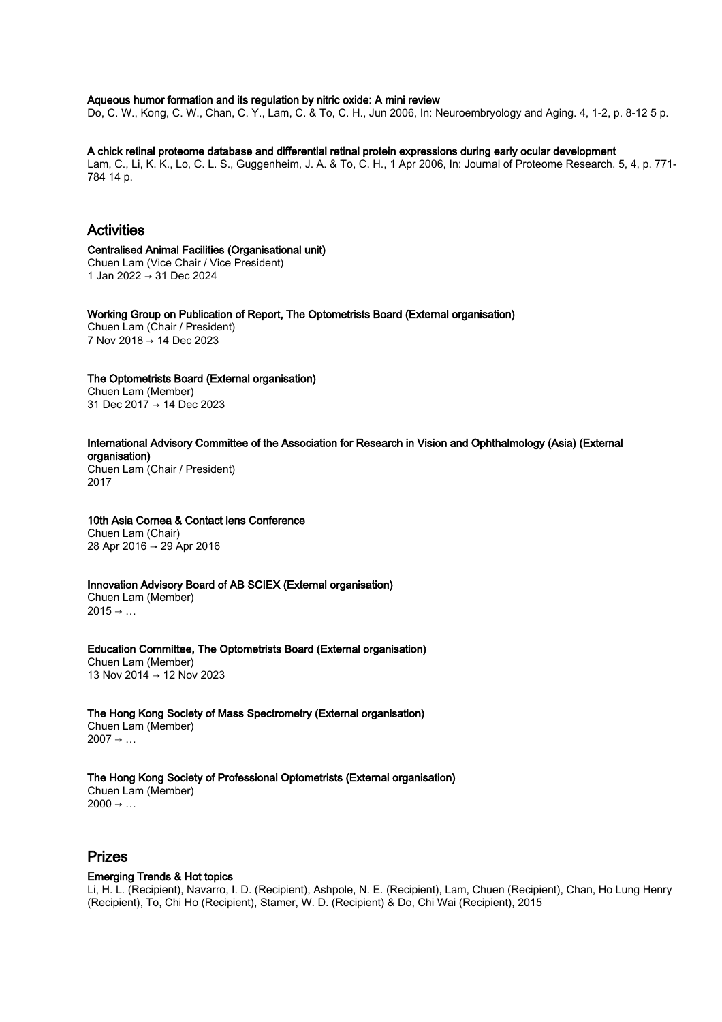### Aqueous humor formation and its regulation by nitric oxide: A mini review

Do, C. W., Kong, C. W., Chan, C. Y., Lam, C. & To, C. H., Jun 2006, In: Neuroembryology and Aging. 4, 1-2, p. 8-12 5 p.

### A chick retinal proteome database and differential retinal protein expressions during early ocular development

Lam, C., Li, K. K., Lo, C. L. S., Guggenheim, J. A. & To, C. H., 1 Apr 2006, In: Journal of Proteome Research. 5, 4, p. 771- 784 14 p.

# Activities

Centralised Animal Facilities (Organisational unit) Chuen Lam (Vice Chair / Vice President) 1 Jan 2022 → 31 Dec 2024

Working Group on Publication of Report, The Optometrists Board (External organisation) Chuen Lam (Chair / President) 7 Nov 2018 → 14 Dec 2023

The Optometrists Board (External organisation) Chuen Lam (Member) 31 Dec 2017 → 14 Dec 2023

### International Advisory Committee of the Association for Research in Vision and Ophthalmology (Asia) (External organisation)

Chuen Lam (Chair / President) 2017

# 10th Asia Cornea & Contact lens Conference

Chuen Lam (Chair) 28 Apr 2016 → 29 Apr 2016

### Innovation Advisory Board of AB SCIEX (External organisation)

Chuen Lam (Member)  $2015 \rightarrow ...$ 

Education Committee, The Optometrists Board (External organisation) Chuen Lam (Member) 13 Nov 2014 → 12 Nov 2023

The Hong Kong Society of Mass Spectrometry (External organisation) Chuen Lam (Member)  $2007 \rightarrow ...$ 

# The Hong Kong Society of Professional Optometrists (External organisation)

Chuen Lam (Member)  $2000 \rightarrow ...$ 

# Prizes

### Emerging Trends & Hot topics

Li, H. L. (Recipient), Navarro, I. D. (Recipient), Ashpole, N. E. (Recipient), Lam, Chuen (Recipient), Chan, Ho Lung Henry (Recipient), To, Chi Ho (Recipient), Stamer, W. D. (Recipient) & Do, Chi Wai (Recipient), 2015